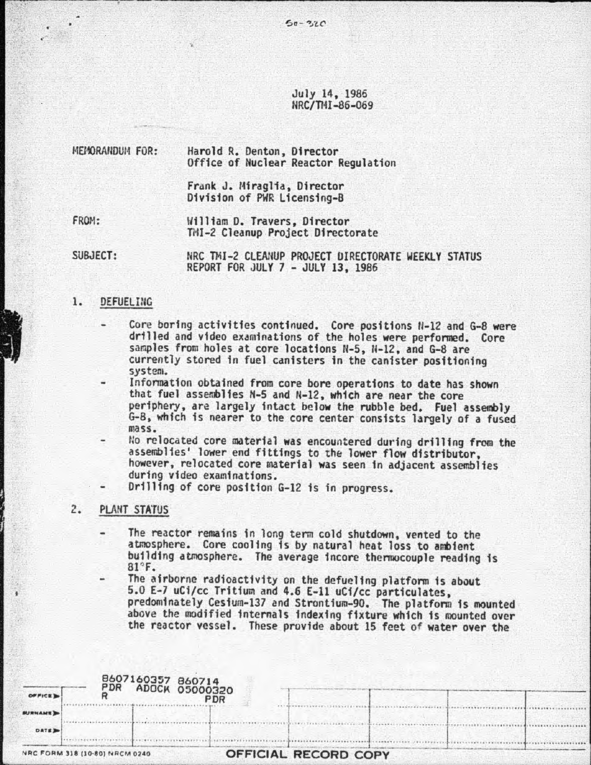July 14, 1985 NRC/TIH -86-069

MEMORANDUM FOR: Harold R. Denton, Director Office of Nuclear Reactor Regulation

> Frank J. Miraglia, Director Division of PWR Licensing-B

FROM: William D. Travers. Director TMI-2 Cleanup Project Directorate

SUBJECT: NRC TMI-2 CLEANUP PROJECT OIRECTORATE WEEKLY STATUS REPORT FOR JULY 7 - JULY 13, 1986

# 1. DEFUELING

- Core boring activities continued. Core positions N-12 and G-8 were drilled and video examinations of the holes were performed. Core samples from holes at core locations N-5, N-12, and G-8 are currently stored in fuel canisters in the canister positioning<br>system.
- Information obtained from core bore operations to date has shown that fuel assemblies H-5 and N-12, which are near the core periphery, are largely intact below the rubble bed. Fuel assembly G-8, whfch is nearer to the core center consists largely of a fused mass.
- No relocated core material was encountered during drilling from the assemblies' lower end fittings to the lower flow distributor, however, relocated core material was seen fn adjacent assemblies during video examinations.
- Drilling of core position G-12 is in progress.

## 2. PLANT STATUS

' t

- The reactor remains in long term cold shutdown, vented to the atmosphere. Core cooling fs by natural heat loss to ambient building atmosphere. The average incore thermocouple reading is  $81^\circ$ F.
- The airborne radioactivity on the defueling platform is about<br>5.0 E-7 uCi/cc Tritium and 4.6 E-11 uCi/cc particulates, predominately Cesium-137 and Strontium-90. The platform is mounted above the modified internals indexing fixture which is mounted over the reactor vessel. These provide about 15 feet of water over the

|                |                                | 8607160357 860714                   |                      |  |  |
|----------------|--------------------------------|-------------------------------------|----------------------|--|--|
| OFFICE D       | PDR                            | <b>ADOCK 05000320</b><br><b>PDR</b> |                      |  |  |
| <b>BURNAME</b> |                                |                                     |                      |  |  |
| DATE 2         |                                |                                     |                      |  |  |
|                | NRC FORM 318 (10-80) NRCM 0240 |                                     | OFFICIAL RECORD COPY |  |  |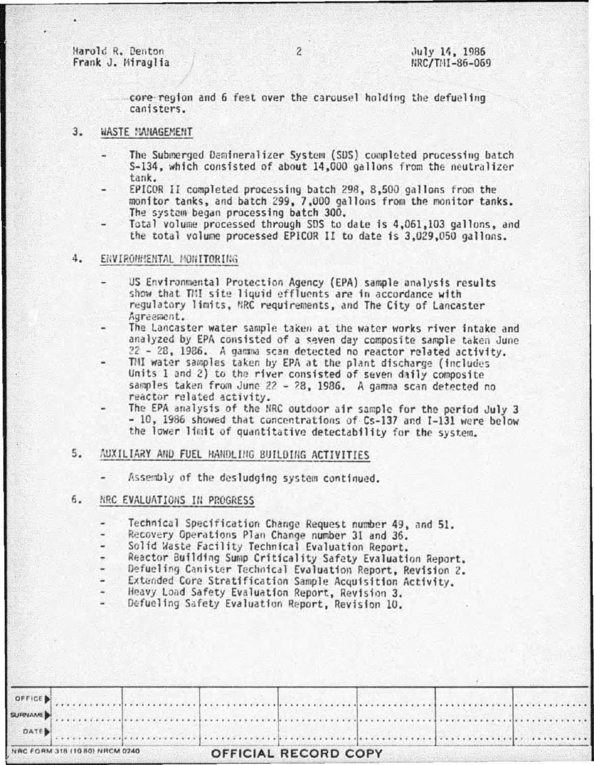Harold R. Denton Frank J. Miraglia

core region and 6 feet over the carousel holding the defueling canisters.

#### $3.$ WASTE MANAGEMENT

- The Submerged Demineralizer System (SDS) completed processing batch S-134, which consisted of about 14,000 gallons from the neutralizer tank.
- EPICOR II completed processing batch 298, 8,500 gallons from the monitor tanks, and batch 299, 7,000 gallons from the monitor tanks. The system began processing batch 300.
- Total volume processed through SDS to date is 4,061,103 gallons, and the total volume processed EPICOR II to date is 3,029,050 gallons.

#### 4. ENVIRONMENTAL MONITORING

- US Environmental Protection Agency (EPA) sample analysis results show that TMI site liquid effluents are in accordance with regulatory limits, MRC requirements, and The City of Lancaster Agreement.
- The Lancaster water sample taken at the water works river intake and analyzed by EPA consisted of a seven day composite sample taken June 22 - 28, 1986. A gamma scan detected no reactor related activity.
- THI water samples taken by EPA at the plant discharge (includes Units 1 and 2) to the river consisted of seven daily composite samples taken from June 22 - 28, 1986. A gamma scan detected no reactor related activity.
- The EPA analysis of the NRC outdoor air sample for the period July 3 - 10, 1986 showed that concentrations of Cs-137 and I-131 were below the lower limit of quantitative detectability for the system.

# $5.$ AUXILIARY AND FUEL HANDLING BUILDING ACTIVITIES

Assembly of the desludging system continued.

#### 6. NRC EVALUATIONS IN PROGRESS

- Technical Specification Change Request number 49, and 51.
- Recovery Operations Plan Change number 31 and 36.
- ۷ Solid Waste Facility Technical Evaluation Report.
- Reactor Building Sump Criticality Safety Evaluation Report.
- Defueling Canister Technical Evaluation Report, Revision 2.
- Extended Core Stratification Sample Acquisition Activity.
- Heavy Load Safety Evaluation Report, Revision 3.

Defueling Safety Evaluation Report, Revision 10.

| NRC FORM 318 (10 80) NRCM 0240 |                                                                                                                                                                                                                                |  | OFFICIAL RECORD COPY |  |  |  |  |  |  |
|--------------------------------|--------------------------------------------------------------------------------------------------------------------------------------------------------------------------------------------------------------------------------|--|----------------------|--|--|--|--|--|--|
|                                |                                                                                                                                                                                                                                |  |                      |  |  |  |  |  |  |
|                                |                                                                                                                                                                                                                                |  |                      |  |  |  |  |  |  |
|                                | OFFICE Distribution of the continuum of the continuum of the continuum of the continuum of the continuum of the continuum of the continuum of the continuum of the continuum of the continuum of the continuum of the continuu |  |                      |  |  |  |  |  |  |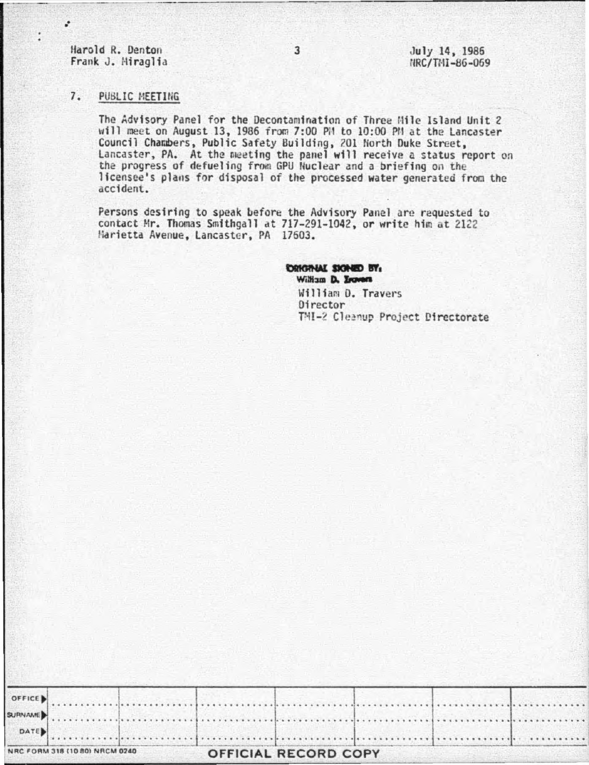Harold R. Denton Frank J. Miraglia

÷

July 14, 1986 NRC/TMI-86-069

## $7.$ PUBLIC MEETING

The Advisory Panel for the Decontamination of Three Mile Island Unit 2 will meet on August 13, 1986 from 7:00 PM to 10:00 PM at the Lancaster Council Chambers, Public Safety Building, 201 North Duke Street, Lancaster, PA. At the meeting the panel will receive a status report on the progress of defueling from GPU Nuclear and a briefing on the licensee's plans for disposal of the processed water generated from the accident.

Persons desiring to speak before the Advisory Panel are requested to contact Mr. Thomas Smithgall at 717-291-1042, or write him at 2122 Harietta Avenue, Lancaster, PA 17603.

> CRIGINAL SIGNED BY: William D. Irovers William D. Travers Director TMI-2 Cleanup Project Directorate

| OFFICE                         |  |                      |  |  |  |
|--------------------------------|--|----------------------|--|--|--|
| <b>RURNAMED</b>                |  |                      |  |  |  |
| DATE                           |  |                      |  |  |  |
| NRC FORM 318 (10 80) NRCM 0240 |  | OFFICIAL RECORD COPY |  |  |  |